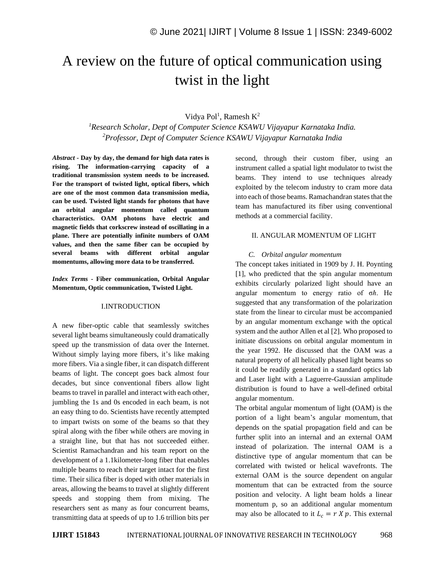# A review on the future of optical communication using twist in the light

## Vidya Pol<sup>1</sup>, Ramesh K<sup>2</sup>

*<sup>1</sup>Research Scholar, Dept of Computer Science KSAWU Vijayapur Karnataka India. <sup>2</sup>Professor, Dept of Computer Science KSAWU Vijayapur Karnataka India*

*Abstract -* **Day by day, the demand for high data rates is rising. The information-carrying capacity of a traditional transmission system needs to be increased. For the transport of twisted light, optical fibers, which are one of the most common data transmission media, can be used. Twisted light stands for photons that have an orbital angular momentum called quantum characteristics. OAM photons have electric and magnetic fields that corkscrew instead of oscillating in a plane. There are potentially infinite numbers of OAM values, and then the same fiber can be occupied by several beams with different orbital angular momentums, allowing more data to be transferred.**

*Index Terms -* **Fiber communication, Orbital Angular Momentum, Optic communication, Twisted Light.**

#### I.INTRODUCTION

A new fiber-optic cable that seamlessly switches several light beams simultaneously could dramatically speed up the transmission of data over the Internet. Without simply laying more fibers, it's like making more fibers. Via a single fiber, it can dispatch different beams of light. The concept goes back almost four decades, but since conventional fibers allow light beams to travel in parallel and interact with each other, jumbling the 1s and 0s encoded in each beam, is not an easy thing to do. Scientists have recently attempted to impart twists on some of the beams so that they spiral along with the fiber while others are moving in a straight line, but that has not succeeded either. Scientist Ramachandran and his team report on the development of a 1.1kilometer-long fiber that enables multiple beams to reach their target intact for the first time. Their silica fiber is doped with other materials in areas, allowing the beams to travel at slightly different speeds and stopping them from mixing. The researchers sent as many as four concurrent beams, transmitting data at speeds of up to 1.6 trillion bits per second, through their custom fiber, using an instrument called a spatial light modulator to twist the beams. They intend to use techniques already exploited by the telecom industry to cram more data into each of those beams. Ramachandran states that the team has manufactured its fiber using conventional methods at a commercial facility.

### II. ANGULAR MOMENTUM OF LIGHT

#### *C. Orbital angular momentum*

The concept takes initiated in 1909 by J. H. Poynting [1], who predicted that the spin angular momentum exhibits circularly polarized light should have an angular momentum to energy ratio of σℏ. He suggested that any transformation of the polarization state from the linear to circular must be accompanied by an angular momentum exchange with the optical system and the author Allen et al [2]. Who proposed to initiate discussions on orbital angular momentum in the year 1992. He discussed that the OAM was a natural property of all helically phased light beams so it could be readily generated in a standard optics lab and Laser light with a Laguerre-Gaussian amplitude distribution is found to have a well-defined orbital angular momentum.

The orbital angular momentum of light (OAM) is the portion of a light beam's angular momentum, that depends on the spatial propagation field and can be further split into an internal and an external OAM instead of polarization. The internal OAM is a distinctive type of angular momentum that can be correlated with twisted or helical wavefronts. The external OAM is the source dependent on angular momentum that can be extracted from the source position and velocity. A light beam holds a linear momentum p, so an additional angular momentum may also be allocated to it  $L_c = r X p$ . This external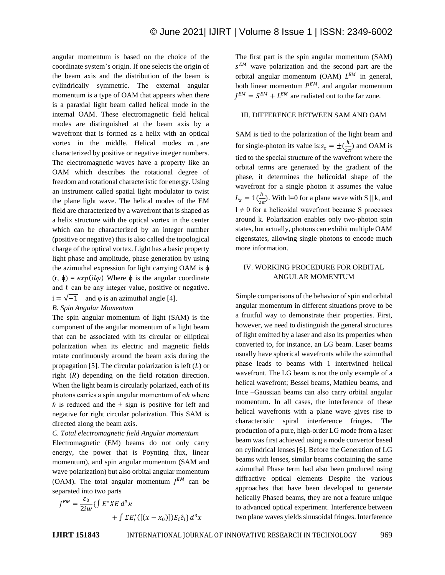angular momentum is based on the choice of the coordinate system's origin. If one selects the origin of the beam axis and the distribution of the beam is cylindrically symmetric. The external angular momentum is a type of OAM that appears when there is a paraxial light beam called helical mode in the internal OAM. These electromagnetic field helical modes are distinguished at the beam axis by a wavefront that is formed as a helix with an optical vortex in the middle. Helical modes  $m$ , are characterized by positive or negative integer numbers. The electromagnetic waves have a property like an OAM which describes the rotational degree of freedom and rotational characteristic for energy. Using an instrument called spatial light modulator to twist the plane light wave. The helical modes of the EM field are characterized by a wavefront that is shaped as a helix structure with the optical vortex in the center which can be characterized by an integer number (positive or negative) this is also called the topological charge of the optical vortex. Light has a basic property light phase and amplitude, phase generation by using the azimuthal expression for light carrying OAM is  $\phi$  $(r, \phi) = exp(i l \phi)$  Where  $\phi$  is the angular coordinate and  $\ell$  can be any integer value, positive or negative.  $i = \sqrt{-1}$  and  $\varphi$  is an azimuthal angle [4].

# *B. Spin Angular Momentum*

The spin angular momentum of light (SAM) is the component of the angular momentum of a light beam that can be associated with its circular or elliptical polarization when its electric and magnetic fields rotate continuously around the beam axis during the propagation [5]. The circular polarization is left  $(L)$  or right  $(R)$  depending on the field rotation direction. When the light beam is circularly polarized, each of its photons carries a spin angular momentum of  $\sigma h$  where  $\hbar$  is reduced and the  $\pm$  sign is positive for left and negative for right circular polarization. This SAM is directed along the beam axis.

### *C. Total electromagnetic field Angular momentum*

Electromagnetic (EM) beams do not only carry energy, the power that is Poynting flux, linear momentum), and spin angular momentum (SAM and wave polarization) but also orbital angular momentum (OAM). The total angular momentum  $J^{EM}$  can be separated into two parts

$$
J^{EM} = \frac{\varepsilon_0}{2iw} \{ \int E^* X E \, d^3 \varkappa + \int \Sigma E_i^* ([(x - x_0)]) E_i \hat{e}_i \} \, d^3 x
$$

The first part is the spin angular momentum (SAM)  $s^{EM}$  wave polarization and the second part are the orbital angular momentum (OAM)  $L^{EM}$  in general, both linear momentum  $P^{EM}$ , and angular momentum  $J^{EM} = S^{EM} + L^{EM}$  are radiated out to the far zone.

## III. DIFFERENCE BETWEEN SAM AND OAM

SAM is tied to the polarization of the light beam and for single-photon its value is: $s_z = \pm(\frac{h}{2\pi})$  $\frac{n}{2\pi}$ ) and OAM is tied to the special structure of the wavefront where the orbital terms are generated by the gradient of the phase, it determines the helicoidal shape of the wavefront for a single photon it assumes the value  $L_{z} = 1(\frac{h}{2a})$  $\frac{n}{2\pi}$ ). With l=0 for a plane wave with S || k, and  $1 \neq 0$  for a helicoidal wavefront because S processes around k. Polarization enables only two-photon spin states, but actually, photons can exhibit multiple OAM eigenstates, allowing single photons to encode much more information.

# IV. WORKING PROCEDURE FOR ORBITAL ANGULAR MOMENTUM

Simple comparisons of the behavior of spin and orbital angular momentum in different situations prove to be a fruitful way to demonstrate their properties. First, however, we need to distinguish the general structures of light emitted by a laser and also its properties when converted to, for instance, an LG beam. Laser beams usually have spherical wavefronts while the azimuthal phase leads to beams with 1 intertwined helical wavefront. The LG beam is not the only example of a helical wavefront; Bessel beams, Mathieu beams, and Ince –Gaussian beams can also carry orbital angular momentum. In all cases, the interference of these helical wavefronts with a plane wave gives rise to characteristic spiral interference fringes. The production of a pure, high-order LG mode from a laser beam was first achieved using a mode convertor based on cylindrical lenses [6]. Before the Generation of LG beams with lenses, similar beams containing the same azimuthal Phase term had also been produced using diffractive optical elements Despite the various approaches that have been developed to generate helically Phased beams, they are not a feature unique to advanced optical experiment. Interference between two plane waves yields sinusoidal fringes. Interference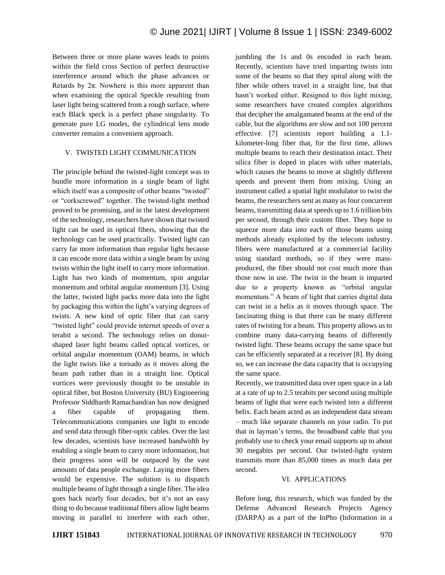Between three or more plane waves leads to points within the field cross Section of perfect destructive interference around which the phase advances or Retards by  $2\pi$ . Nowhere is this more apparent than when examining the optical Speckle resulting from laser light being scattered from a rough surface, where each Black speck is a perfect phase singularity. To generate pure LG modes, the cylindrical lens mode converter remains a convenient approach.

## V. TWISTED LIGHT COMMUNICATION

The principle behind the twisted-light concept was to bundle more information in a single beam of light which itself was a composite of other beams "twisted" or "corkscrewed" together. The twisted-light method proved to be promising, and in the latest development of the technology, researchers have shown that twisted light can be used in optical fibers, showing that the technology can be used practically. Twisted light can carry far more information than regular light because it can encode more data within a single beam by using twists within the light itself to carry more information. Light has two kinds of momentum, spin angular momentum and orbital angular momentum [3]. Using the latter, twisted light packs more data into the light by packaging this within the light's varying degrees of twists. A new kind of optic fiber that can carry "twisted light" could provide internet speeds of over a terabit a second. The technology relies on donutshaped laser light beams called optical vortices, or orbital angular momentum (OAM) beams, in which the light twists like a tornado as it moves along the beam path rather than in a straight line. Optical vortices were previously thought to be unstable in optical fiber, but Boston University (BU) Engineering Professor Siddharth Ramachandran has now designed a fiber capable of propagating them. Telecommunications companies use light to encode and send data through fiber-optic cables. Over the last few decades, scientists have increased bandwidth by enabling a single beam to carry more information, but their progress soon will be outpaced by the vast amounts of data people exchange. Laying more fibers would be expensive. The solution is to dispatch multiple beams of light through a single fiber. The idea goes back nearly four decades, but it's not an easy thing to do because traditional fibers allow light beams moving in parallel to interfere with each other,

jumbling the 1s and 0s encoded in each beam. Recently, scientists have tried imparting twists into some of the beams so that they spiral along with the fiber while others travel in a straight line, but that hasn't worked either. Resigned to this light mixing, some researchers have created complex algorithms that decipher the amalgamated beams at the end of the cable, but the algorithms are slow and not 100 percent effective. [7] scientists report building a 1.1 kilometer-long fiber that, for the first time, allows multiple beams to reach their destination intact. Their silica fiber is doped in places with other materials, which causes the beams to move at slightly different speeds and prevent them from mixing. Using an instrument called a spatial light modulator to twist the beams, the researchers sent as many as four concurrent beams, transmitting data at speeds up to 1.6 trillion bits per second, through their custom fiber. They hope to squeeze more data into each of those beams using methods already exploited by the telecom industry. fibers were manufactured at a commercial facility using standard methods, so if they were massproduced, the fiber should not cost much more than those now in use. The twist in the beam is imparted due to a property known as "orbital angular momentum." A beam of light that carries digital data can twist in a helix as it moves through space. The fascinating thing is that there can be many different rates of twisting for a beam. This property allows us to combine many data-carrying beams of differently twisted light. These beams occupy the same space but can be efficiently separated at a receiver [8]. By doing so, we can increase the data capacity that is occupying the same space.

Recently, we transmitted data over open space in a lab at a rate of up to 2.5 terabits per second using multiple beams of light that were each twisted into a different helix. Each beam acted as an independent data stream – much like separate channels on your radio. To put that in layman's terms, the broadband cable that you probably use to check your email supports up to about 30 megabits per second. Our twisted-light system transmits more than 85,000 times as much data per second.

### VI. APPLICATIONS

Before long, this research, which was funded by the Defense Advanced Research Projects Agency (DARPA) as a part of the InPho (Information in a